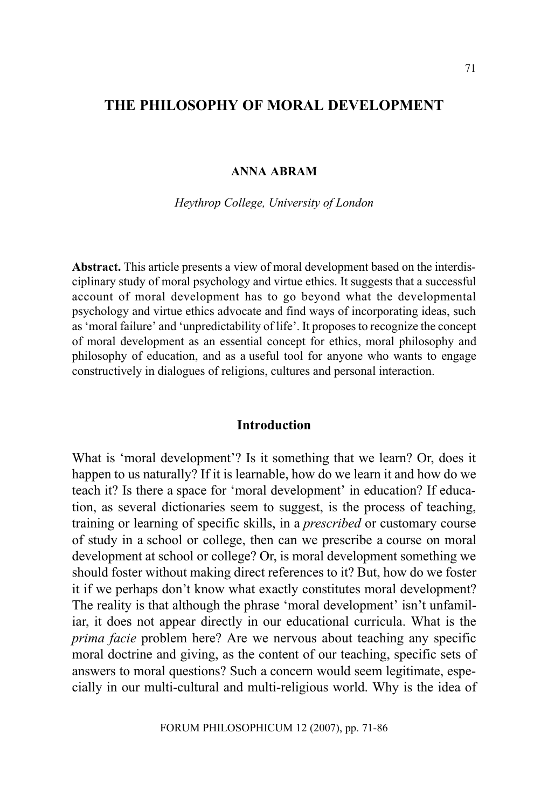## THE PHILOSOPHY OF MORAL DEVELOPMENT

#### ANNA ABRAM

Heythrop College, University of London

Abstract. This article presents a view of moral development based on the interdisciplinary study of moral psychology and virtue ethics. It suggests that a successful account of moral development has to go beyond what the developmental psychology and virtue ethics advocate and find ways of incorporating ideas, such as 'moral failure' and 'unpredictability of life'. It proposes to recognize the concept of moral development as an essential concept for ethics, moral philosophy and philosophy of education, and as a useful tool for anyone who wants to engage constructively in dialogues of religions, cultures and personal interaction.

#### Introduction

What is 'moral development'? Is it something that we learn? Or, does it happen to us naturally? If it is learnable, how do we learn it and how do we teach it? Is there a space for 'moral development' in education? If education, as several dictionaries seem to suggest, is the process of teaching, training or learning of specific skills, in a prescribed or customary course of study in a school or college, then can we prescribe a course on moral development at school or college? Or, is moral development something we should foster without making direct references to it? But, how do we foster it if we perhaps don't know what exactly constitutes moral development? The reality is that although the phrase 'moral development' isn't unfamiliar, it does not appear directly in our educational curricula. What is the prima facie problem here? Are we nervous about teaching any specific moral doctrine and giving, as the content of our teaching, specific sets of answers to moral questions? Such a concern would seem legitimate, especially in our multi-cultural and multi-religious world. Why is the idea of

FORUM PHILOSOPHICUM 12 (2007), pp. 71-86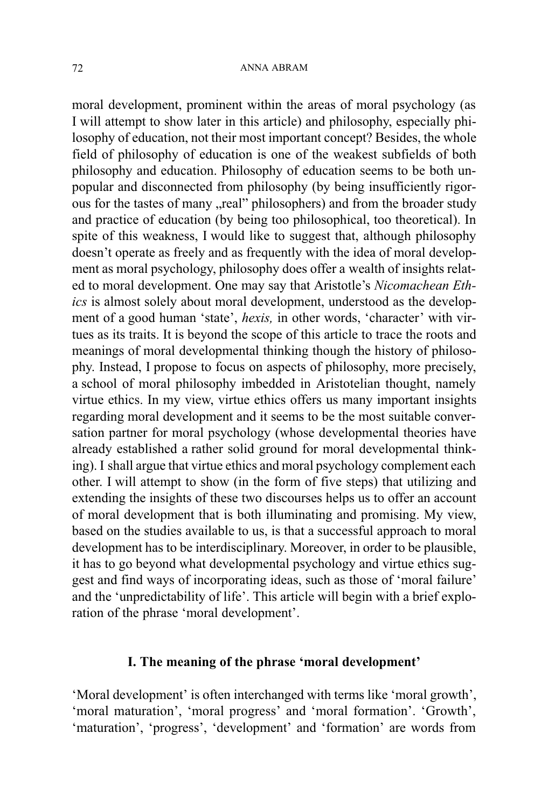#### ANNA ABRAM

moral development, prominent within the areas of moral psychology (as I will attempt to show later in this article) and philosophy, especially philosophy of education, not their most important concept? Besides, the whole field of philosophy of education is one of the weakest subfields of both philosophy and education. Philosophy of education seems to be both unpopular and disconnected from philosophy (by being insufficiently rigorous for the tastes of many "real" philosophers) and from the broader study and practice of education (by being too philosophical, too theoretical). In spite of this weakness, I would like to suggest that, although philosophy doesn't operate as freely and as frequently with the idea of moral development as moral psychology, philosophy does offer a wealth of insights related to moral development. One may say that Aristotle's Nicomachean Ethics is almost solely about moral development, understood as the development of a good human 'state', hexis, in other words, 'character' with virtues as its traits. It is beyond the scope of this article to trace the roots and meanings of moral developmental thinking though the history of philosophy. Instead, I propose to focus on aspects of philosophy, more precisely, a school of moral philosophy imbedded in Aristotelian thought, namely virtue ethics. In my view, virtue ethics offers us many important insights regarding moral development and it seems to be the most suitable conversation partner for moral psychology (whose developmental theories have already established a rather solid ground for moral developmental thinking). I shall argue that virtue ethics and moral psychology complement each other. I will attempt to show (in the form of five steps) that utilizing and extending the insights of these two discourses helps us to offer an account of moral development that is both illuminating and promising. My view, based on the studies available to us, is that a successful approach to moral development has to be interdisciplinary. Moreover, in order to be plausible, it has to go beyond what developmental psychology and virtue ethics suggest and find ways of incorporating ideas, such as those of 'moral failure' and the 'unpredictability of life'. This article will begin with a brief exploration of the phrase 'moral development'.

#### I. The meaning of the phrase 'moral development'

'Moral development' is often interchanged with terms like 'moral growth', 'moral maturation', 'moral progress' and 'moral formation'. 'Growth', 'maturation', 'progress', 'development' and 'formation' are words from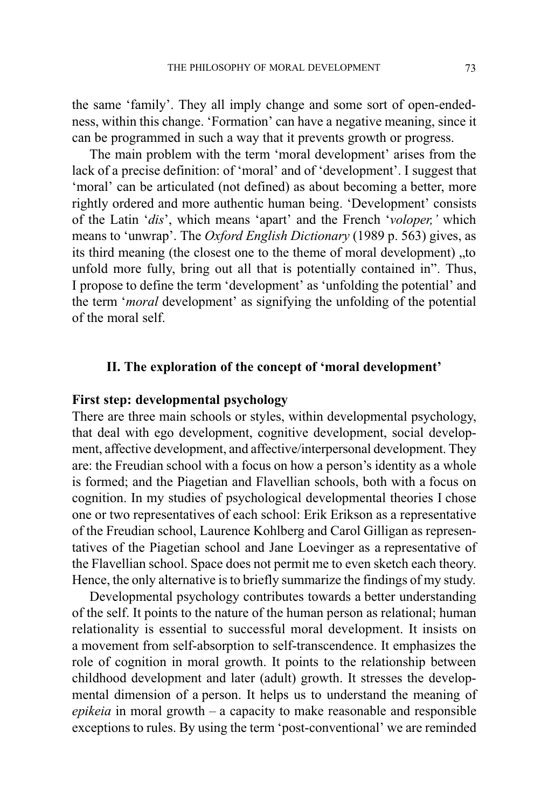the same family. They all imply change and some sort of open-endedness, within this change. 'Formation' can have a negative meaning, since it can be programmed in such a way that it prevents growth or progress.

The main problem with the term 'moral development' arises from the lack of a precise definition: of 'moral' and of 'development'. I suggest that 'moral' can be articulated (not defined) as about becoming a better, more rightly ordered and more authentic human being. 'Development' consists of the Latin 'dis', which means 'apart' and the French 'voloper,' which means to 'unwrap'. The Oxford English Dictionary (1989 p. 563) gives, as its third meaning (the closest one to the theme of moral development) ..to unfold more fully, bring out all that is potentially contained in". Thus, I propose to define the term 'development' as 'unfolding the potential' and the term '*moral* development' as signifying the unfolding of the potential of the moral self.

#### II. The exploration of the concept of 'moral development'

## First step: developmental psychology

There are three main schools or styles, within developmental psychology, that deal with ego development, cognitive development, social development, affective development, and affective/interpersonal development. They are: the Freudian school with a focus on how a person's identity as a whole is formed; and the Piagetian and Flavellian schools, both with a focus on cognition. In my studies of psychological developmental theories I chose one or two representatives of each school: Erik Erikson as a representative of the Freudian school, Laurence Kohlberg and Carol Gilligan as representatives of the Piagetian school and Jane Loevinger as a representative of the Flavellian school. Space does not permit me to even sketch each theory. Hence, the only alternative is to briefly summarize the findings of my study.

Developmental psychology contributes towards a better understanding of the self. It points to the nature of the human person as relational; human relationality is essential to successful moral development. It insists on a movement from self-absorption to self-transcendence. It emphasizes the role of cognition in moral growth. It points to the relationship between childhood development and later (adult) growth. It stresses the developmental dimension of a person. It helps us to understand the meaning of  $epikeia$  in moral growth  $-$  a capacity to make reasonable and responsible exceptions to rules. By using the term 'post-conventional' we are reminded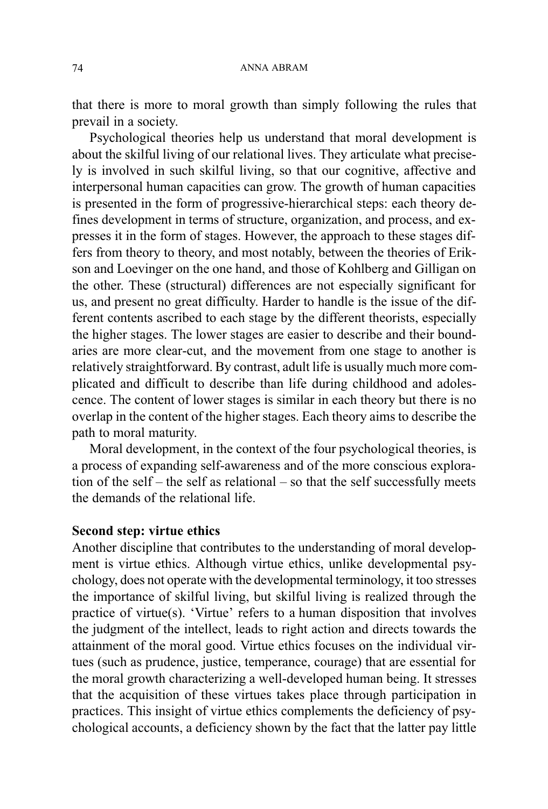that there is more to moral growth than simply following the rules that prevail in a society.

Psychological theories help us understand that moral development is about the skilful living of our relational lives. They articulate what precisely is involved in such skilful living, so that our cognitive, affective and interpersonal human capacities can grow. The growth of human capacities is presented in the form of progressive-hierarchical steps: each theory defines development in terms of structure, organization, and process, and expresses it in the form of stages. However, the approach to these stages differs from theory to theory, and most notably, between the theories of Erikson and Loevinger on the one hand, and those of Kohlberg and Gilligan on the other. These (structural) differences are not especially significant for us, and present no great difficulty. Harder to handle is the issue of the different contents ascribed to each stage by the different theorists, especially the higher stages. The lower stages are easier to describe and their boundaries are more clear-cut, and the movement from one stage to another is relatively straightforward. By contrast, adult life is usually much more complicated and difficult to describe than life during childhood and adolescence. The content of lower stages is similar in each theory but there is no overlap in the content of the higher stages. Each theory aims to describe the path to moral maturity.

Moral development, in the context of the four psychological theories, is a process of expanding self-awareness and of the more conscious exploration of the self  $-$  the self as relational  $-$  so that the self successfully meets the demands of the relational life.

#### Second step: virtue ethics

Another discipline that contributes to the understanding of moral development is virtue ethics. Although virtue ethics, unlike developmental psychology, does not operate with the developmental terminology, it too stresses the importance of skilful living, but skilful living is realized through the practice of virtue(s). 'Virtue' refers to a human disposition that involves the judgment of the intellect, leads to right action and directs towards the attainment of the moral good. Virtue ethics focuses on the individual virtues (such as prudence, justice, temperance, courage) that are essential for the moral growth characterizing a well-developed human being. It stresses that the acquisition of these virtues takes place through participation in practices. This insight of virtue ethics complements the deficiency of psychological accounts, a deficiency shown by the fact that the latter pay little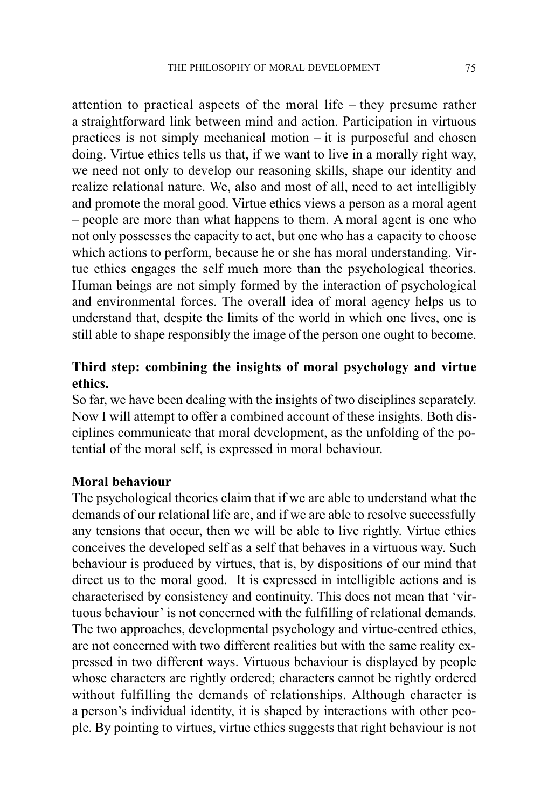attention to practical aspects of the moral life  $-$  they presume rather a straightforward link between mind and action. Participation in virtuous practices is not simply mechanical motion  $-$  it is purposeful and chosen doing. Virtue ethics tells us that, if we want to live in a morally right way, we need not only to develop our reasoning skills, shape our identity and realize relational nature. We, also and most of all, need to act intelligibly and promote the moral good. Virtue ethics views a person as a moral agent - people are more than what happens to them. A moral agent is one who not only possesses the capacity to act, but one who has a capacity to choose which actions to perform, because he or she has moral understanding. Virtue ethics engages the self much more than the psychological theories. Human beings are not simply formed by the interaction of psychological and environmental forces. The overall idea of moral agency helps us to understand that, despite the limits of the world in which one lives, one is still able to shape responsibly the image of the person one ought to become.

# Third step: combining the insights of moral psychology and virtue ethics.

So far, we have been dealing with the insights of two disciplines separately. Now I will attempt to offer a combined account of these insights. Both disciplines communicate that moral development, as the unfolding of the potential of the moral self, is expressed in moral behaviour.

## Moral behaviour

The psychological theories claim that if we are able to understand what the demands of our relational life are, and if we are able to resolve successfully any tensions that occur, then we will be able to live rightly. Virtue ethics conceives the developed self as a self that behaves in a virtuous way. Such behaviour is produced by virtues, that is, by dispositions of our mind that direct us to the moral good. It is expressed in intelligible actions and is characterised by consistency and continuity. This does not mean that 'virtuous behaviour' is not concerned with the fulfilling of relational demands. The two approaches, developmental psychology and virtue-centred ethics, are not concerned with two different realities but with the same reality expressed in two different ways. Virtuous behaviour is displayed by people whose characters are rightly ordered; characters cannot be rightly ordered without fulfilling the demands of relationships. Although character is a person's individual identity, it is shaped by interactions with other people. By pointing to virtues, virtue ethics suggests that right behaviour is not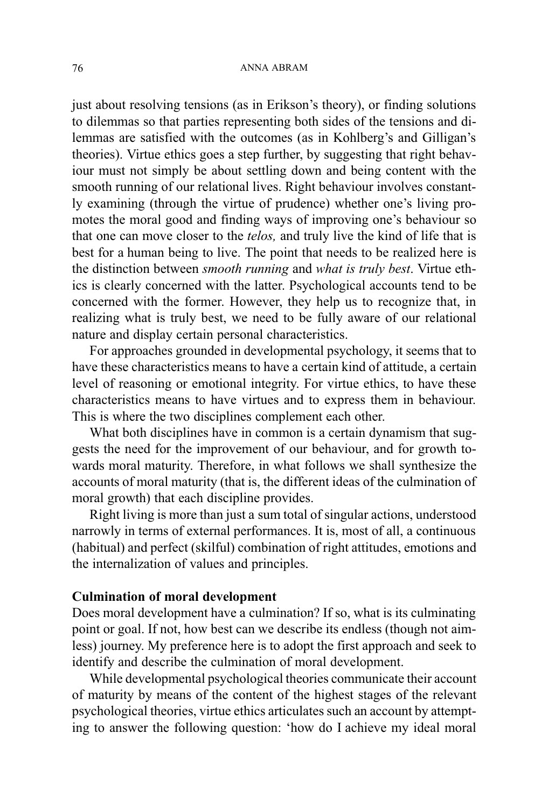just about resolving tensions (as in Erikson's theory), or finding solutions to dilemmas so that parties representing both sides of the tensions and dilemmas are satisfied with the outcomes (as in Kohlberg's and Gilligan's theories). Virtue ethics goes a step further, by suggesting that right behaviour must not simply be about settling down and being content with the smooth running of our relational lives. Right behaviour involves constantly examining (through the virtue of prudence) whether one's living promotes the moral good and finding ways of improving one's behaviour so that one can move closer to the telos, and truly live the kind of life that is best for a human being to live. The point that needs to be realized here is the distinction between smooth running and what is truly best. Virtue ethics is clearly concerned with the latter. Psychological accounts tend to be concerned with the former. However, they help us to recognize that, in realizing what is truly best, we need to be fully aware of our relational nature and display certain personal characteristics.

For approaches grounded in developmental psychology, it seems that to have these characteristics means to have a certain kind of attitude, a certain level of reasoning or emotional integrity. For virtue ethics, to have these characteristics means to have virtues and to express them in behaviour. This is where the two disciplines complement each other.

What both disciplines have in common is a certain dynamism that suggests the need for the improvement of our behaviour, and for growth towards moral maturity. Therefore, in what follows we shall synthesize the accounts of moral maturity (that is, the different ideas of the culmination of moral growth) that each discipline provides.

Right living is more than just a sum total of singular actions, understood narrowly in terms of external performances. It is, most of all, a continuous (habitual) and perfect (skilful) combination of right attitudes, emotions and the internalization of values and principles.

## Culmination of moral development

Does moral development have a culmination? If so, what is its culminating point or goal. If not, how best can we describe its endless (though not aimless) journey. My preference here is to adopt the first approach and seek to identify and describe the culmination of moral development.

While developmental psychological theories communicate their account of maturity by means of the content of the highest stages of the relevant psychological theories, virtue ethics articulates such an account by attempting to answer the following question: 'how do I achieve my ideal moral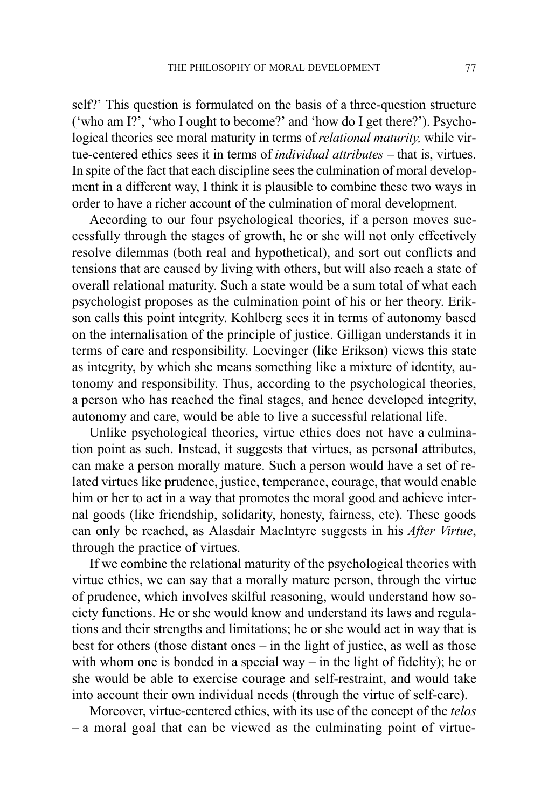self?' This question is formulated on the basis of a three-question structure ('who am I?', 'who I ought to become?' and 'how do I get there?'). Psychological theories see moral maturity in terms of relational maturity, while virtue-centered ethics sees it in terms of *individual attributes*  $-$  that is, virtues. In spite of the fact that each discipline sees the culmination of moral development in a different way, I think it is plausible to combine these two ways in order to have a richer account of the culmination of moral development.

According to our four psychological theories, if a person moves successfully through the stages of growth, he or she will not only effectively resolve dilemmas (both real and hypothetical), and sort out conflicts and tensions that are caused by living with others, but will also reach a state of overall relational maturity. Such a state would be a sum total of what each psychologist proposes as the culmination point of his or her theory. Erikson calls this point integrity. Kohlberg sees it in terms of autonomy based on the internalisation of the principle of justice. Gilligan understands it in terms of care and responsibility. Loevinger (like Erikson) views this state as integrity, by which she means something like a mixture of identity, autonomy and responsibility. Thus, according to the psychological theories, a person who has reached the final stages, and hence developed integrity, autonomy and care, would be able to live a successful relational life.

Unlike psychological theories, virtue ethics does not have a culmination point as such. Instead, it suggests that virtues, as personal attributes, can make a person morally mature. Such a person would have a set of related virtues like prudence, justice, temperance, courage, that would enable him or her to act in a way that promotes the moral good and achieve internal goods (like friendship, solidarity, honesty, fairness, etc). These goods can only be reached, as Alasdair MacIntyre suggests in his After Virtue, through the practice of virtues.

If we combine the relational maturity of the psychological theories with virtue ethics, we can say that a morally mature person, through the virtue of prudence, which involves skilful reasoning, would understand how society functions. He or she would know and understand its laws and regulations and their strengths and limitations; he or she would act in way that is best for others (those distant ones  $-$  in the light of justice, as well as those with whom one is bonded in a special way  $-$  in the light of fidelity); he or she would be able to exercise courage and self-restraint, and would take into account their own individual needs (through the virtue of self-care).

Moreover, virtue-centered ethics, with its use of the concept of the telos  $-$  a moral goal that can be viewed as the culminating point of virtue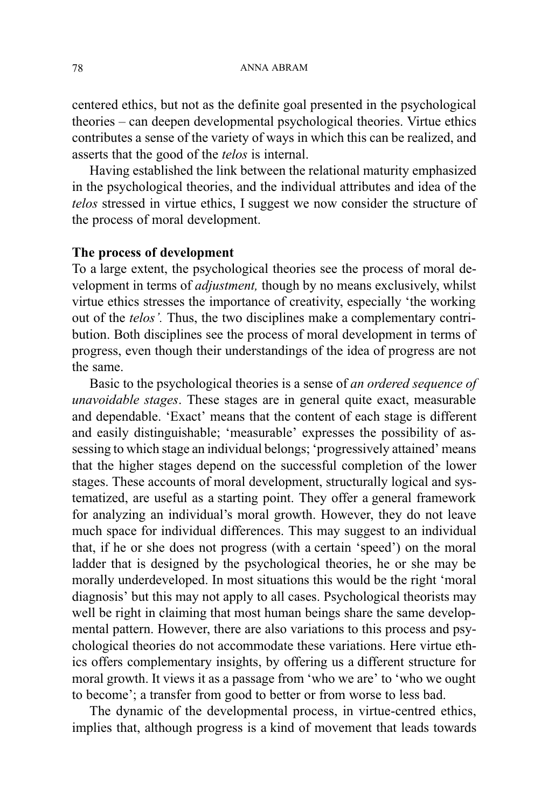centered ethics, but not as the definite goal presented in the psychological theories – can deepen developmental psychological theories. Virtue ethics contributes a sense of the variety of ways in which this can be realized, and asserts that the good of the telos is internal.

Having established the link between the relational maturity emphasized in the psychological theories, and the individual attributes and idea of the telos stressed in virtue ethics, I suggest we now consider the structure of the process of moral development.

#### The process of development

To a large extent, the psychological theories see the process of moral development in terms of adjustment, though by no means exclusively, whilst virtue ethics stresses the importance of creativity, especially the working out of the *telos'*. Thus, the two disciplines make a complementary contribution. Both disciplines see the process of moral development in terms of progress, even though their understandings of the idea of progress are not the same.

Basic to the psychological theories is a sense of an ordered sequence of unavoidable stages. These stages are in general quite exact, measurable and dependable. 'Exact' means that the content of each stage is different and easily distinguishable; 'measurable' expresses the possibility of assessing to which stage an individual belongs; 'progressively attained' means that the higher stages depend on the successful completion of the lower stages. These accounts of moral development, structurally logical and systematized, are useful as a starting point. They offer a general framework for analyzing an individual's moral growth. However, they do not leave much space for individual differences. This may suggest to an individual that, if he or she does not progress (with a certain 'speed') on the moral ladder that is designed by the psychological theories, he or she may be morally underdeveloped. In most situations this would be the right 'moral diagnosis' but this may not apply to all cases. Psychological theorists may well be right in claiming that most human beings share the same developmental pattern. However, there are also variations to this process and psychological theories do not accommodate these variations. Here virtue ethics offers complementary insights, by offering us a different structure for moral growth. It views it as a passage from 'who we are' to 'who we ought to become'; a transfer from good to better or from worse to less bad.

The dynamic of the developmental process, in virtue-centred ethics, implies that, although progress is a kind of movement that leads towards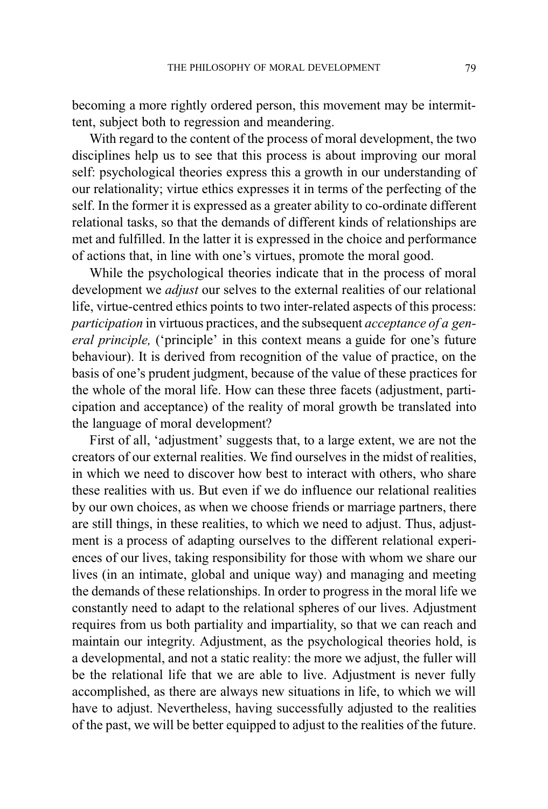becoming a more rightly ordered person, this movement may be intermittent, subject both to regression and meandering.

With regard to the content of the process of moral development, the two disciplines help us to see that this process is about improving our moral self: psychological theories express this a growth in our understanding of our relationality; virtue ethics expresses it in terms of the perfecting of the self. In the former it is expressed as a greater ability to co-ordinate different relational tasks, so that the demands of different kinds of relationships are met and fulfilled. In the latter it is expressed in the choice and performance of actions that, in line with one's virtues, promote the moral good.

While the psychological theories indicate that in the process of moral development we *adjust* our selves to the external realities of our relational life, virtue-centred ethics points to two inter-related aspects of this process: participation in virtuous practices, and the subsequent acceptance of a general principle, ('principle' in this context means a guide for one's future behaviour). It is derived from recognition of the value of practice, on the basis of one's prudent judgment, because of the value of these practices for the whole of the moral life. How can these three facets (adjustment, participation and acceptance) of the reality of moral growth be translated into the language of moral development?

First of all, 'adjustment' suggests that, to a large extent, we are not the creators of our external realities. We find ourselves in the midst of realities, in which we need to discover how best to interact with others, who share these realities with us. But even if we do influence our relational realities by our own choices, as when we choose friends or marriage partners, there are still things, in these realities, to which we need to adjust. Thus, adjustment is a process of adapting ourselves to the different relational experiences of our lives, taking responsibility for those with whom we share our lives (in an intimate, global and unique way) and managing and meeting the demands of these relationships. In order to progress in the moral life we constantly need to adapt to the relational spheres of our lives. Adjustment requires from us both partiality and impartiality, so that we can reach and maintain our integrity. Adjustment, as the psychological theories hold, is a developmental, and not a static reality: the more we adjust, the fuller will be the relational life that we are able to live. Adjustment is never fully accomplished, as there are always new situations in life, to which we will have to adjust. Nevertheless, having successfully adjusted to the realities of the past, we will be better equipped to adjust to the realities of the future.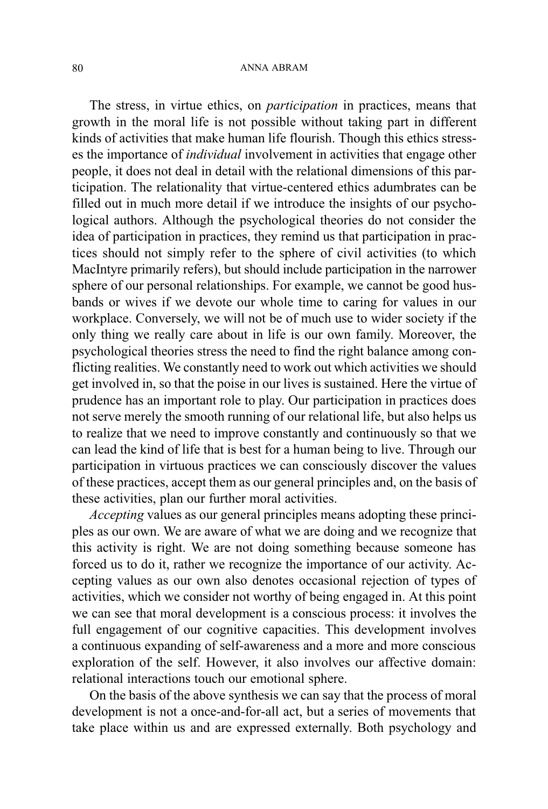The stress, in virtue ethics, on participation in practices, means that growth in the moral life is not possible without taking part in different kinds of activities that make human life flourish. Though this ethics stresses the importance of individual involvement in activities that engage other people, it does not deal in detail with the relational dimensions of this participation. The relationality that virtue-centered ethics adumbrates can be filled out in much more detail if we introduce the insights of our psychological authors. Although the psychological theories do not consider the idea of participation in practices, they remind us that participation in practices should not simply refer to the sphere of civil activities (to which MacIntyre primarily refers), but should include participation in the narrower sphere of our personal relationships. For example, we cannot be good husbands or wives if we devote our whole time to caring for values in our workplace. Conversely, we will not be of much use to wider society if the only thing we really care about in life is our own family. Moreover, the psychological theories stress the need to find the right balance among conflicting realities. We constantly need to work out which activities we should get involved in, so that the poise in our lives is sustained. Here the virtue of prudence has an important role to play. Our participation in practices does not serve merely the smooth running of our relational life, but also helps us to realize that we need to improve constantly and continuously so that we can lead the kind of life that is best for a human being to live. Through our participation in virtuous practices we can consciously discover the values of these practices, accept them as our general principles and, on the basis of these activities, plan our further moral activities.

Accepting values as our general principles means adopting these principles as our own. We are aware of what we are doing and we recognize that this activity is right. We are not doing something because someone has forced us to do it, rather we recognize the importance of our activity. Accepting values as our own also denotes occasional rejection of types of activities, which we consider not worthy of being engaged in. At this point we can see that moral development is a conscious process: it involves the full engagement of our cognitive capacities. This development involves a continuous expanding of self-awareness and a more and more conscious exploration of the self. However, it also involves our affective domain: relational interactions touch our emotional sphere.

On the basis of the above synthesis we can say that the process of moral development is not a once-and-for-all act, but a series of movements that take place within us and are expressed externally. Both psychology and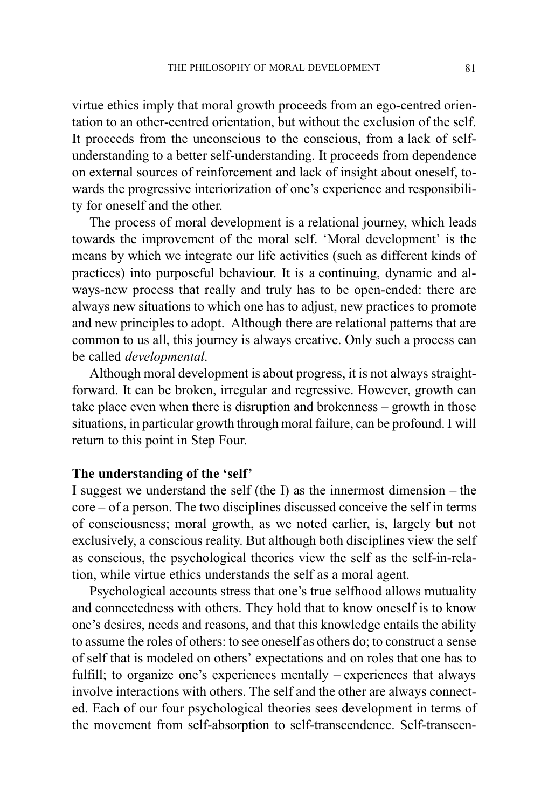virtue ethics imply that moral growth proceeds from an ego-centred orientation to an other-centred orientation, but without the exclusion of the self. It proceeds from the unconscious to the conscious, from a lack of selfunderstanding to a better self-understanding. It proceeds from dependence on external sources of reinforcement and lack of insight about oneself, towards the progressive interiorization of one's experience and responsibility for oneself and the other.

The process of moral development is a relational journey, which leads towards the improvement of the moral self. 'Moral development' is the means by which we integrate our life activities (such as different kinds of practices) into purposeful behaviour. It is a continuing, dynamic and always-new process that really and truly has to be open-ended: there are always new situations to which one has to adjust, new practices to promote and new principles to adopt. Although there are relational patterns that are common to us all, this journey is always creative. Only such a process can be called developmental.

Although moral development is about progress, it is not always straightforward. It can be broken, irregular and regressive. However, growth can take place even when there is disruption and brokenness  $-$  growth in those situations, in particular growth through moral failure, can be profound. I will return to this point in Step Four.

## The understanding of the 'self'

I suggest we understand the self (the I) as the innermost dimension  $-$  the core of a person. The two disciplines discussed conceive the self in terms of consciousness; moral growth, as we noted earlier, is, largely but not exclusively, a conscious reality. But although both disciplines view the self as conscious, the psychological theories view the self as the self-in-relation, while virtue ethics understands the self as a moral agent.

Psychological accounts stress that one's true selfhood allows mutuality and connectedness with others. They hold that to know oneself is to know one's desires, needs and reasons, and that this knowledge entails the ability to assume the roles of others: to see oneself as others do; to construct a sense of self that is modeled on others' expectations and on roles that one has to fulfill; to organize one's experiences mentally  $-$  experiences that always involve interactions with others. The self and the other are always connected. Each of our four psychological theories sees development in terms of the movement from self-absorption to self-transcendence. Self-transcen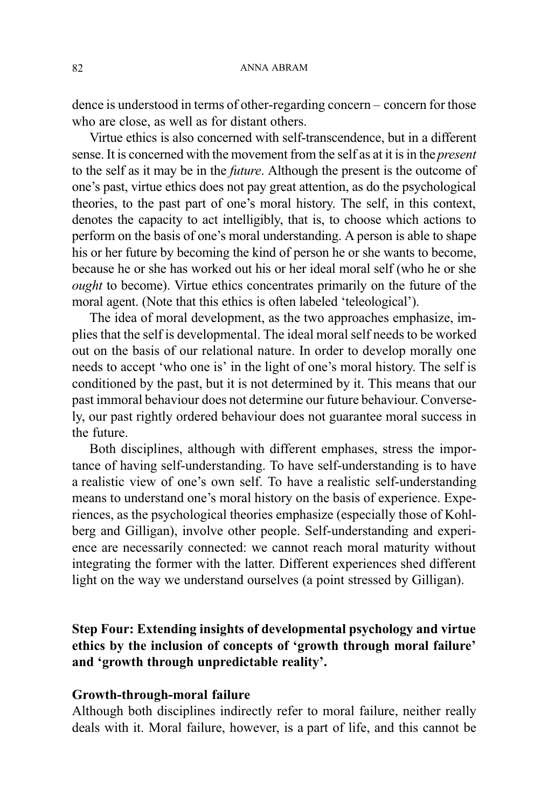dence is understood in terms of other-regarding concern – concern for those who are close, as well as for distant others.

Virtue ethics is also concerned with self-transcendence, but in a different sense. It is concerned with the movement from the self as at it is in the present to the self as it may be in the future. Although the present is the outcome of one's past, virtue ethics does not pay great attention, as do the psychological theories, to the past part of one's moral history. The self, in this context, denotes the capacity to act intelligibly, that is, to choose which actions to perform on the basis of one's moral understanding. A person is able to shape his or her future by becoming the kind of person he or she wants to become, because he or she has worked out his or her ideal moral self (who he or she ought to become). Virtue ethics concentrates primarily on the future of the moral agent. (Note that this ethics is often labeled 'teleological').

The idea of moral development, as the two approaches emphasize, implies that the self is developmental. The ideal moral self needs to be worked out on the basis of our relational nature. In order to develop morally one needs to accept 'who one is' in the light of one's moral history. The self is conditioned by the past, but it is not determined by it. This means that our past immoral behaviour does not determine our future behaviour. Conversely, our past rightly ordered behaviour does not guarantee moral success in the future.

Both disciplines, although with different emphases, stress the importance of having self-understanding. To have self-understanding is to have a realistic view of one's own self. To have a realistic self-understanding means to understand one's moral history on the basis of experience. Experiences, as the psychological theories emphasize (especially those of Kohlberg and Gilligan), involve other people. Self-understanding and experience are necessarily connected: we cannot reach moral maturity without integrating the former with the latter. Different experiences shed different light on the way we understand ourselves (a point stressed by Gilligan).

Step Four: Extending insights of developmental psychology and virtue ethics by the inclusion of concepts of 'growth through moral failure' and 'growth through unpredictable reality'.

## Growth-through-moral failure

Although both disciplines indirectly refer to moral failure, neither really deals with it. Moral failure, however, is a part of life, and this cannot be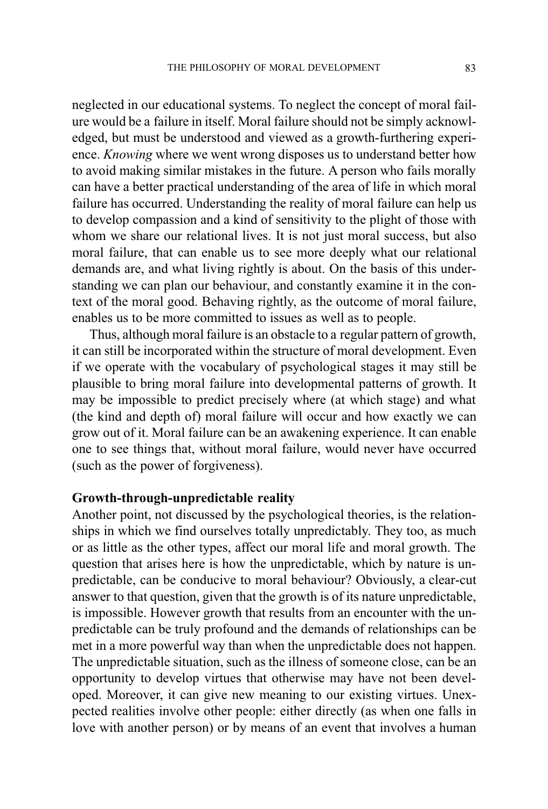neglected in our educational systems. To neglect the concept of moral failure would be a failure in itself. Moral failure should not be simply acknowledged, but must be understood and viewed as a growth-furthering experience. *Knowing* where we went wrong disposes us to understand better how to avoid making similar mistakes in the future. A person who fails morally can have a better practical understanding of the area of life in which moral failure has occurred. Understanding the reality of moral failure can help us to develop compassion and a kind of sensitivity to the plight of those with whom we share our relational lives. It is not just moral success, but also moral failure, that can enable us to see more deeply what our relational demands are, and what living rightly is about. On the basis of this understanding we can plan our behaviour, and constantly examine it in the context of the moral good. Behaving rightly, as the outcome of moral failure, enables us to be more committed to issues as well as to people.

Thus, although moral failure is an obstacle to a regular pattern of growth, it can still be incorporated within the structure of moral development. Even if we operate with the vocabulary of psychological stages it may still be plausible to bring moral failure into developmental patterns of growth. It may be impossible to predict precisely where (at which stage) and what (the kind and depth of) moral failure will occur and how exactly we can grow out of it. Moral failure can be an awakening experience. It can enable one to see things that, without moral failure, would never have occurred (such as the power of forgiveness).

## Growth-through-unpredictable reality

Another point, not discussed by the psychological theories, is the relationships in which we find ourselves totally unpredictably. They too, as much or as little as the other types, affect our moral life and moral growth. The question that arises here is how the unpredictable, which by nature is unpredictable, can be conducive to moral behaviour? Obviously, a clear-cut answer to that question, given that the growth is of its nature unpredictable, is impossible. However growth that results from an encounter with the unpredictable can be truly profound and the demands of relationships can be met in a more powerful way than when the unpredictable does not happen. The unpredictable situation, such as the illness of someone close, can be an opportunity to develop virtues that otherwise may have not been developed. Moreover, it can give new meaning to our existing virtues. Unexpected realities involve other people: either directly (as when one falls in love with another person) or by means of an event that involves a human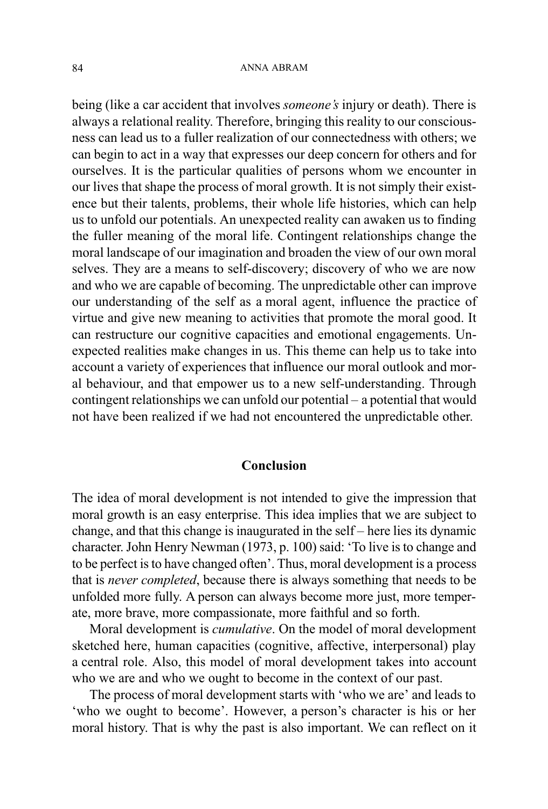being (like a car accident that involves *someone's* injury or death). There is always a relational reality. Therefore, bringing this reality to our consciousness can lead us to a fuller realization of our connectedness with others; we can begin to act in a way that expresses our deep concern for others and for ourselves. It is the particular qualities of persons whom we encounter in our lives that shape the process of moral growth. It is not simply their existence but their talents, problems, their whole life histories, which can help us to unfold our potentials. An unexpected reality can awaken us to finding the fuller meaning of the moral life. Contingent relationships change the moral landscape of our imagination and broaden the view of our own moral selves. They are a means to self-discovery; discovery of who we are now and who we are capable of becoming. The unpredictable other can improve our understanding of the self as a moral agent, influence the practice of virtue and give new meaning to activities that promote the moral good. It can restructure our cognitive capacities and emotional engagements. Unexpected realities make changes in us. This theme can help us to take into account a variety of experiences that influence our moral outlook and moral behaviour, and that empower us to a new self-understanding. Through contingent relationships we can unfold our potential  $-$  a potential that would not have been realized if we had not encountered the unpredictable other.

#### Conclusion

The idea of moral development is not intended to give the impression that moral growth is an easy enterprise. This idea implies that we are subject to change, and that this change is inaugurated in the self  $-$  here lies its dynamic character. John Henry Newman (1973, p. 100) said: To live is to change and to be perfect is to have changed often'. Thus, moral development is a process that is never completed, because there is always something that needs to be unfolded more fully. A person can always become more just, more temperate, more brave, more compassionate, more faithful and so forth.

Moral development is cumulative. On the model of moral development sketched here, human capacities (cognitive, affective, interpersonal) play a central role. Also, this model of moral development takes into account who we are and who we ought to become in the context of our past.

The process of moral development starts with 'who we are' and leads to 'who we ought to become'. However, a person's character is his or her moral history. That is why the past is also important. We can reflect on it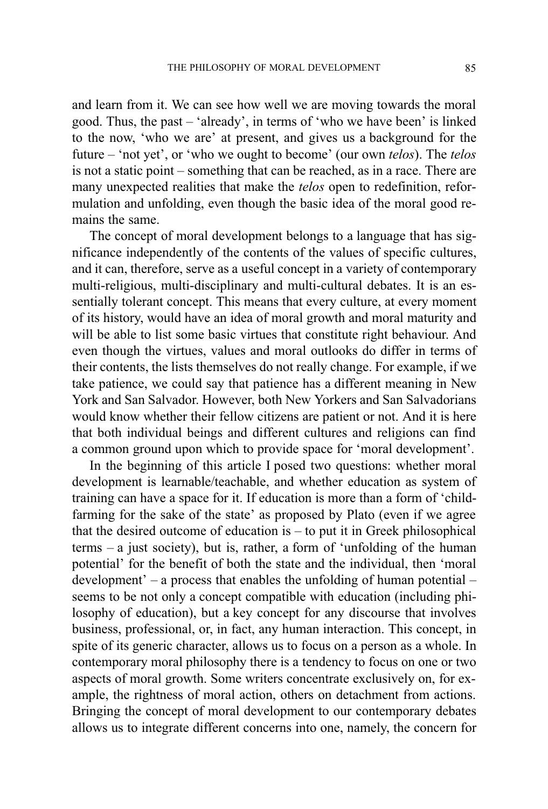and learn from it. We can see how well we are moving towards the moral good. Thus, the past – 'already', in terms of 'who we have been' is linked to the now, 'who we are' at present, and gives us a background for the future  $-$  'not yet', or 'who we ought to become' (our own *telos*). The *telos* is not a static point  $-$  something that can be reached, as in a race. There are many unexpected realities that make the telos open to redefinition, reformulation and unfolding, even though the basic idea of the moral good remains the same.

The concept of moral development belongs to a language that has significance independently of the contents of the values of specific cultures, and it can, therefore, serve as a useful concept in a variety of contemporary multi-religious, multi-disciplinary and multi-cultural debates. It is an essentially tolerant concept. This means that every culture, at every moment of its history, would have an idea of moral growth and moral maturity and will be able to list some basic virtues that constitute right behaviour. And even though the virtues, values and moral outlooks do differ in terms of their contents, the lists themselves do not really change. For example, if we take patience, we could say that patience has a different meaning in New York and San Salvador. However, both New Yorkers and San Salvadorians would know whether their fellow citizens are patient or not. And it is here that both individual beings and different cultures and religions can find a common ground upon which to provide space for 'moral development'.

In the beginning of this article I posed two questions: whether moral development is learnable/teachable, and whether education as system of training can have a space for it. If education is more than a form of 'childfarming for the sake of the state' as proposed by Plato (even if we agree that the desired outcome of education is  $-$  to put it in Greek philosophical terms  $-$  a just society), but is, rather, a form of 'unfolding of the human potential' for the benefit of both the state and the individual, then 'moral development'  $-$  a process that enables the unfolding of human potential  $$ seems to be not only a concept compatible with education (including philosophy of education), but a key concept for any discourse that involves business, professional, or, in fact, any human interaction. This concept, in spite of its generic character, allows us to focus on a person as a whole. In contemporary moral philosophy there is a tendency to focus on one or two aspects of moral growth. Some writers concentrate exclusively on, for example, the rightness of moral action, others on detachment from actions. Bringing the concept of moral development to our contemporary debates allows us to integrate different concerns into one, namely, the concern for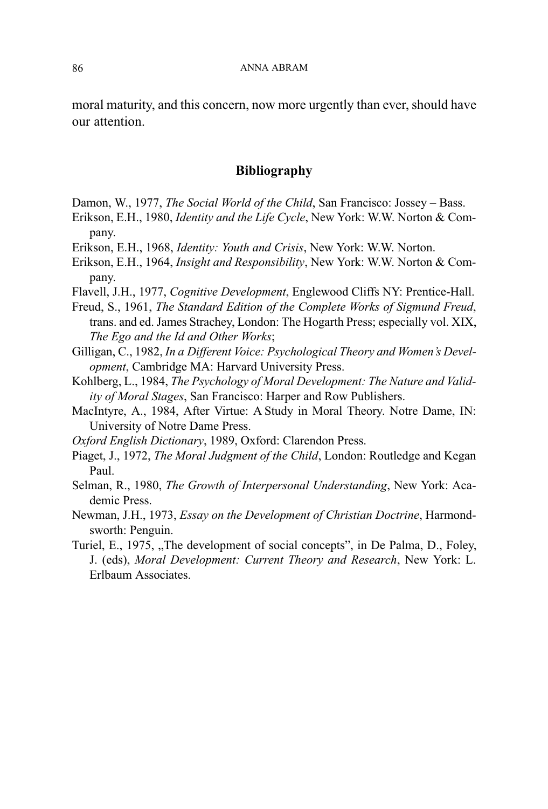moral maturity, and this concern, now more urgently than ever, should have our attention.

## Bibliography

- Damon, W., 1977, The Social World of the Child, San Francisco: Jossey Bass.
- Erikson, E.H., 1980, Identity and the Life Cycle, New York: W.W. Norton & Company.
- Erikson, E.H., 1968, Identity: Youth and Crisis, New York: W.W. Norton.
- Erikson, E.H., 1964, Insight and Responsibility, New York: W.W. Norton & Company.
- Flavell, J.H., 1977, Cognitive Development, Englewood Cliffs NY: Prentice-Hall.
- Freud, S., 1961, The Standard Edition of the Complete Works of Sigmund Freud, trans. and ed. James Strachey, London: The Hogarth Press; especially vol. XIX, The Ego and the Id and Other Works;
- Gilligan, C., 1982, In a Different Voice: Psychological Theory and Women's Development, Cambridge MA: Harvard University Press.
- Kohlberg, L., 1984, The Psychology of Moral Development: The Nature and Validity of Moral Stages, San Francisco: Harper and Row Publishers.
- MacIntyre, A., 1984, After Virtue: A Study in Moral Theory. Notre Dame, IN: University of Notre Dame Press.
- Oxford English Dictionary, 1989, Oxford: Clarendon Press.
- Piaget, J., 1972, The Moral Judgment of the Child, London: Routledge and Kegan Paul.
- Selman, R., 1980, The Growth of Interpersonal Understanding, New York: Academic Press.
- Newman, J.H., 1973, Essay on the Development of Christian Doctrine, Harmondsworth: Penguin.
- Turiel, E., 1975, "The development of social concepts", in De Palma, D., Foley, J. (eds), Moral Development: Current Theory and Research, New York: L. Erlbaum Associates.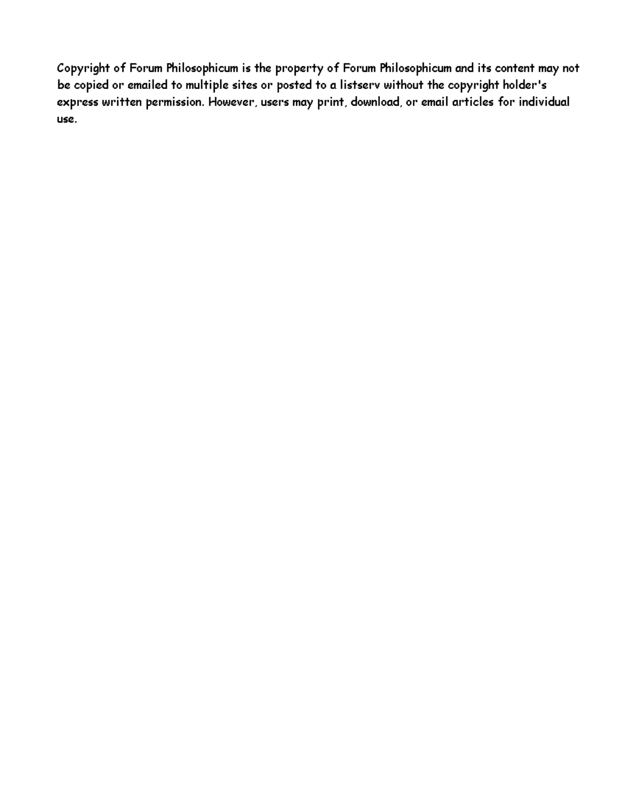Copyright of Forum Philosophicum is the property of Forum Philosophicum and its content may not be copied or emailed to multiple sites or posted to a listserv without the copyright holder's express written permission. However, users may print, download, or email articles for individual use.